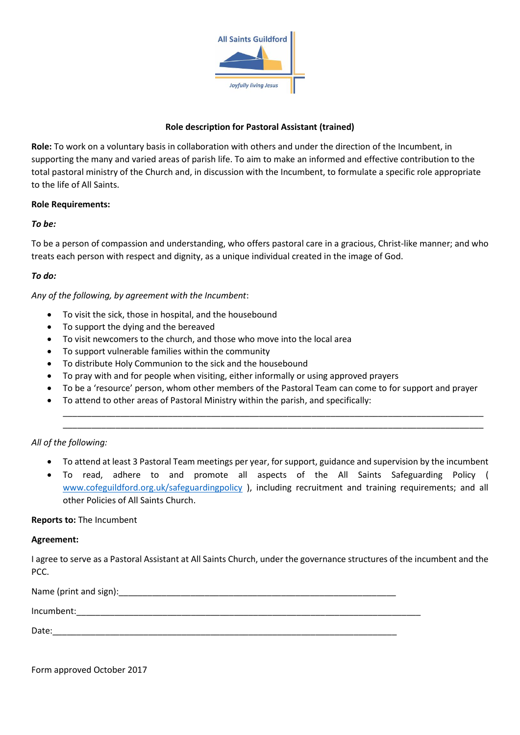

### **Role description for Pastoral Assistant (trained)**

**Role:** To work on a voluntary basis in collaboration with others and under the direction of the Incumbent, in supporting the many and varied areas of parish life. To aim to make an informed and effective contribution to the total pastoral ministry of the Church and, in discussion with the Incumbent, to formulate a specific role appropriate to the life of All Saints.

#### **Role Requirements:**

#### *To be:*

To be a person of compassion and understanding, who offers pastoral care in a gracious, Christ-like manner; and who treats each person with respect and dignity, as a unique individual created in the image of God.

### *To do:*

*Any of the following, by agreement with the Incumbent*:

- To visit the sick, those in hospital, and the housebound
- To support the dying and the bereaved
- To visit newcomers to the church, and those who move into the local area
- To support vulnerable families within the community
- To distribute Holy Communion to the sick and the housebound
- To pray with and for people when visiting, either informally or using approved prayers
- To be a 'resource' person, whom other members of the Pastoral Team can come to for support and prayer
- To attend to other areas of Pastoral Ministry within the parish, and specifically:

#### *All of the following:*

• To attend at least 3 Pastoral Team meetings per year, for support, guidance and supervision by the incumbent

\_\_\_\_\_\_\_\_\_\_\_\_\_\_\_\_\_\_\_\_\_\_\_\_\_\_\_\_\_\_\_\_\_\_\_\_\_\_\_\_\_\_\_\_\_\_\_\_\_\_\_\_\_\_\_\_\_\_\_\_\_\_\_\_\_\_\_\_\_\_\_\_\_\_\_\_\_\_\_\_\_\_\_\_\_\_\_\_ \_\_\_\_\_\_\_\_\_\_\_\_\_\_\_\_\_\_\_\_\_\_\_\_\_\_\_\_\_\_\_\_\_\_\_\_\_\_\_\_\_\_\_\_\_\_\_\_\_\_\_\_\_\_\_\_\_\_\_\_\_\_\_\_\_\_\_\_\_\_\_\_\_\_\_\_\_\_\_\_\_\_\_\_\_\_\_\_

• To read, adhere to and promote all aspects of the All Saints Safeguarding Policy ( [www.cofeguildford.org.uk/safeguardingpolicy](http://www.cofeguildford.org.uk/safeguardingpolicy) ), including recruitment and training requirements; and all other Policies of All Saints Church.

#### **Reports to:** The Incumbent

#### **Agreement:**

I agree to serve as a Pastoral Assistant at All Saints Church, under the governance structures of the incumbent and the PCC.

| Name (print and sign): |  |
|------------------------|--|
| Incumbent:             |  |
| Date:                  |  |

Form approved October 2017